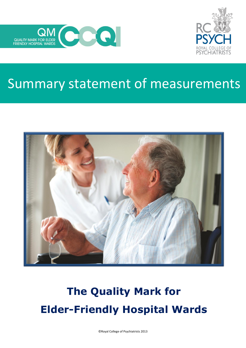



## Summary statement of measurements



# **The Quality Mark for Elder-Friendly Hospital Wards**

©Royal College of Psychiatrists 2013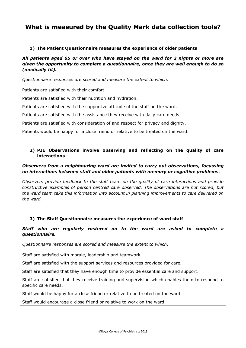### **What is measured by the Quality Mark data collection tools?**

#### **1) The Patient Questionnaire measures the experience of older patients**

*All patients aged 65 or over who have stayed on the ward for 2 nights or more are given the opportunity to complete a questionnaire, once they are well enough to do so (medically fit).*

*Questionnaire responses are scored and measure the extent to which:*

Patients are satisfied with their comfort.

Patients are satisfied with their nutrition and hydration.

Patients are satisfied with the supportive attitude of the staff on the ward.

Patients are satisfied with the assistance they receive with daily care needs.

Patients are satisfied with consideration of and respect for privacy and dignity.

Patients would be happy for a close friend or relative to be treated on the ward.

#### **2) PIE Observations involve observing and reflecting on the quality of care interactions**

#### *Observers from a neighbouring ward are invited to carry out observations, focussing on interactions between staff and older patients with memory or cognitive problems.*

*Observers provide feedback to the staff team on the quality of care interactions and provide constructive examples of person centred care observed. The observations are not scored, but the ward team take this information into account in planning improvements to care delivered on the ward.*

#### **3) The Staff Questionnaire measures the experience of ward staff**

#### *Staff who are regularly rostered on to the ward are asked to complete a questionnaire.*

*Questionnaire responses are scored and measure the extent to which:*

Staff are satisfied with morale, leadership and teamwork.

Staff are satisfied with the support services and resources provided for care.

Staff are satisfied that they have enough time to provide essential care and support.

Staff are satisfied that they receive training and supervision which enables them to respond to specific care needs.

Staff would be happy for a close friend or relative to be treated on the ward.

Staff would encourage a close friend or relative to work on the ward.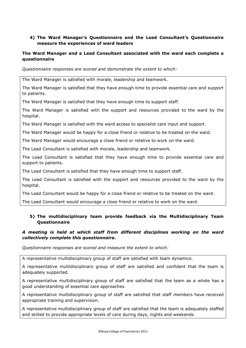#### **4) The Ward Manager's Questionnaire and the Lead Consultant's Questionnaire measure the experiences of ward leaders**

#### **The Ward Manager and a Lead Consultant associated with the ward each complete a questionnaire**

*Questionnaire responses are scored and demonstrate the extent to which:*

The Ward Manager is satisfied with morale, leadership and teamwork.

The Ward Manager is satisfied that they have enough time to provide essential care and support to patients.

The Ward Manager is satisfied that they have enough time to support staff.

The Ward Manager is satisfied with the support and resources provided to the ward by the hospital.

The Ward Manager is satisfied with the ward access to specialist care input and support.

The Ward Manager would be happy for a close friend or relative to be treated on the ward.

The Ward Manager would encourage a close friend or relative to work on the ward.

The Lead Consultant is satisfied with morale, leadership and teamwork.

The Lead Consultant is satisfied that they have enough time to provide essential care and support to patients.

The Lead Consultant is satisfied that they have enough time to support staff.

The Lead Consultant is satisfied with the support and resources provided to the ward by the hospital.

The Lead Consultant would be happy for a close friend or relative to be treated on the ward.

The Lead Consultant would encourage a close friend or relative to work on the ward.

#### **5) The multidisciplinary team provide feedback via the Multidisciplinary Team Questionnaire**

#### *A meeting is held at which staff from different disciplines working on the ward collectively complete this questionnaire.*

*Questionnaire responses are scored and measure the extent to which:*

A representative multidisciplinary group of staff are satisfied with team dynamics.

A representative multidisciplinary group of staff are satisfied and confident that the team is adequately supported.

A representative multidisciplinary group of staff are satisfied that the team as a whole has a good understanding of essential care approaches.

A representative multidisciplinary group of staff are satisfied that staff members have received appropriate training and supervision.

A representative multidisciplinary group of staff are satisfied that the team is adequately staffed and skilled to provide appropriate levels of care during days, nights and weekends.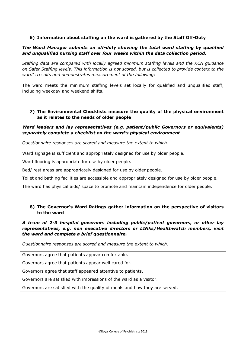#### **6) Information about staffing on the ward is gathered by the Staff Off-Duty**

#### *The Ward Manager submits an off-duty showing the total ward staffing by qualified and unqualified nursing staff over four weeks within the data collection period.*

*Staffing data are compared with locally agreed minimum staffing levels and the RCN guidance on Safer Staffing levels. This information is not scored, but is collected to provide context to the ward's results and demonstrates measurement of the following:*

The ward meets the minimum staffing levels set locally for qualified and unqualified staff, including weekday and weekend shifts.

#### **7) The Environmental Checklists measure the quality of the physical environment as it relates to the needs of older people**

#### *Ward leaders and lay representatives (e.g. patient/public Governors or equivalents) separately complete a checklist on the ward's physical environment*

*Questionnaire responses are scored and measure the extent to which:*

Ward signage is sufficient and appropriately designed for use by older people.

Ward flooring is appropriate for use by older people.

Bed/ rest areas are appropriately designed for use by older people.

Toilet and bathing facilities are accessible and appropriately designed for use by older people.

The ward has physical aids/ space to promote and maintain independence for older people.

#### **8) The Governor's Ward Ratings gather information on the perspective of visitors to the ward**

#### *A team of 2-3 hospital governors including public/patient governors, or other lay representatives, e.g. non executive directors or LINks/Healthwatch members, visit the ward and complete a brief questionnaire.*

*Questionnaire responses are scored and measure the extent to which:*

Governors agree that patients appear comfortable.

Governors agree that patients appear well cared for.

Governors agree that staff appeared attentive to patients.

Governors are satisfied with impressions of the ward as a visitor.

Governors are satisfied with the quality of meals and how they are served.